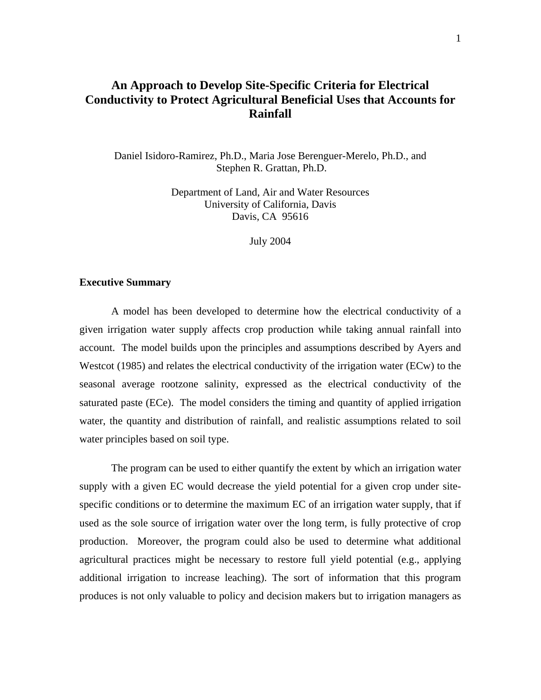### **An Approach to Develop Site-Specific Criteria for Electrical Conductivity to Protect Agricultural Beneficial Uses that Accounts for Rainfall**

Daniel Isidoro-Ramirez, Ph.D., Maria Jose Berenguer-Merelo, Ph.D., and Stephen R. Grattan, Ph.D.

> Department of Land, Air and Water Resources University of California, Davis Davis, CA 95616

> > July 2004

#### **Executive Summary**

A model has been developed to determine how the electrical conductivity of a given irrigation water supply affects crop production while taking annual rainfall into account. The model builds upon the principles and assumptions described by Ayers and Westcot (1985) and relates the electrical conductivity of the irrigation water (ECw) to the seasonal average rootzone salinity, expressed as the electrical conductivity of the saturated paste (ECe). The model considers the timing and quantity of applied irrigation water, the quantity and distribution of rainfall, and realistic assumptions related to soil water principles based on soil type.

The program can be used to either quantify the extent by which an irrigation water supply with a given EC would decrease the yield potential for a given crop under sitespecific conditions or to determine the maximum EC of an irrigation water supply, that if used as the sole source of irrigation water over the long term, is fully protective of crop production. Moreover, the program could also be used to determine what additional agricultural practices might be necessary to restore full yield potential (e.g., applying additional irrigation to increase leaching). The sort of information that this program produces is not only valuable to policy and decision makers but to irrigation managers as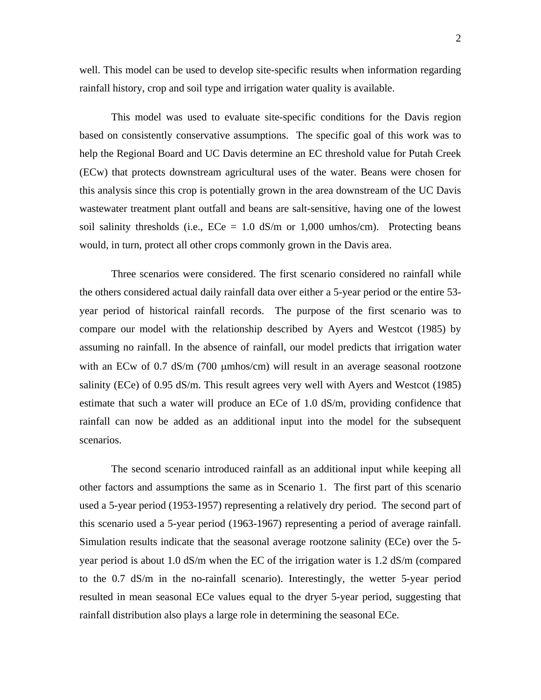well. This model can be used to develop site-specific results when information regarding rainfall history, crop and soil type and irrigation water quality is available.

This model was used to evaluate site-specific conditions for the Davis region based on consistently conservative assumptions. The specific goal of this work was to help the Regional Board and UC Davis determine an EC threshold value for Putah Creek (ECw) that protects downstream agricultural uses of the water. Beans were chosen for this analysis since this crop is potentially grown in the area downstream of the UC Davis wastewater treatment plant outfall and beans are salt-sensitive, having one of the lowest soil salinity thresholds (i.e.,  $ECe = 1.0$  dS/m or 1,000 umhos/cm). Protecting beans would, in turn, protect all other crops commonly grown in the Davis area.

Three scenarios were considered. The first scenario considered no rainfall while the others considered actual daily rainfall data over either a 5-year period or the entire 53 year period of historical rainfall records. The purpose of the first scenario was to compare our model with the relationship described by Ayers and Westcot (1985) by assuming no rainfall. In the absence of rainfall, our model predicts that irrigation water with an ECw of 0.7 dS/m (700 µmhos/cm) will result in an average seasonal rootzone salinity (ECe) of 0.95 dS/m. This result agrees very well with Ayers and Westcot (1985) estimate that such a water will produce an ECe of 1.0 dS/m, providing confidence that rainfall can now be added as an additional input into the model for the subsequent scenarios.

The second scenario introduced rainfall as an additional input while keeping all other factors and assumptions the same as in Scenario 1. The first part of this scenario used a 5-year period (1953-1957) representing a relatively dry period. The second part of this scenario used a 5-year period (1963-1967) representing a period of average rainfall. Simulation results indicate that the seasonal average rootzone salinity (ECe) over the 5 year period is about 1.0 dS/m when the EC of the irrigation water is 1.2 dS/m (compared to the 0.7 dS/m in the no-rainfall scenario). Interestingly, the wetter 5-year period resulted in mean seasonal ECe values equal to the dryer 5-year period, suggesting that rainfall distribution also plays a large role in determining the seasonal ECe.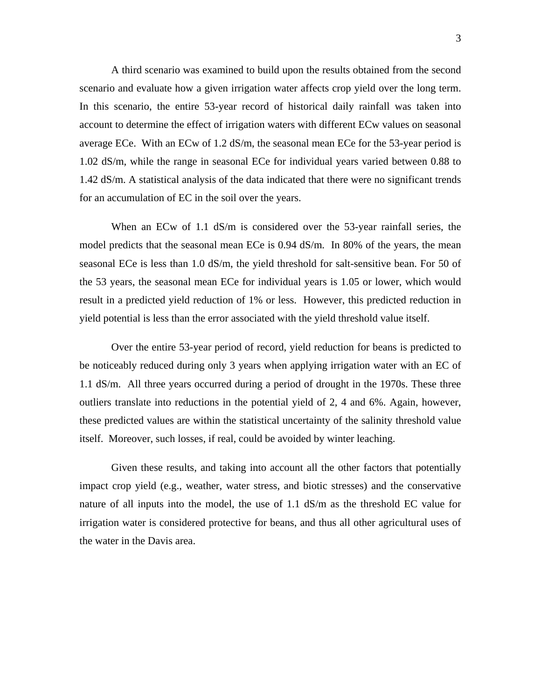A third scenario was examined to build upon the results obtained from the second scenario and evaluate how a given irrigation water affects crop yield over the long term. In this scenario, the entire 53-year record of historical daily rainfall was taken into account to determine the effect of irrigation waters with different ECw values on seasonal average ECe. With an ECw of 1.2 dS/m, the seasonal mean ECe for the 53-year period is 1.02 dS/m, while the range in seasonal ECe for individual years varied between 0.88 to 1.42 dS/m. A statistical analysis of the data indicated that there were no significant trends for an accumulation of EC in the soil over the years.

When an ECw of 1.1 dS/m is considered over the 53-year rainfall series, the model predicts that the seasonal mean ECe is 0.94 dS/m. In 80% of the years, the mean seasonal ECe is less than 1.0 dS/m, the yield threshold for salt-sensitive bean. For 50 of the 53 years, the seasonal mean ECe for individual years is 1.05 or lower, which would result in a predicted yield reduction of 1% or less. However, this predicted reduction in yield potential is less than the error associated with the yield threshold value itself.

Over the entire 53-year period of record, yield reduction for beans is predicted to be noticeably reduced during only 3 years when applying irrigation water with an EC of 1.1 dS/m. All three years occurred during a period of drought in the 1970s. These three outliers translate into reductions in the potential yield of 2, 4 and 6%. Again, however, these predicted values are within the statistical uncertainty of the salinity threshold value itself. Moreover, such losses, if real, could be avoided by winter leaching.

Given these results, and taking into account all the other factors that potentially impact crop yield (e.g., weather, water stress, and biotic stresses) and the conservative nature of all inputs into the model, the use of 1.1 dS/m as the threshold EC value for irrigation water is considered protective for beans, and thus all other agricultural uses of the water in the Davis area.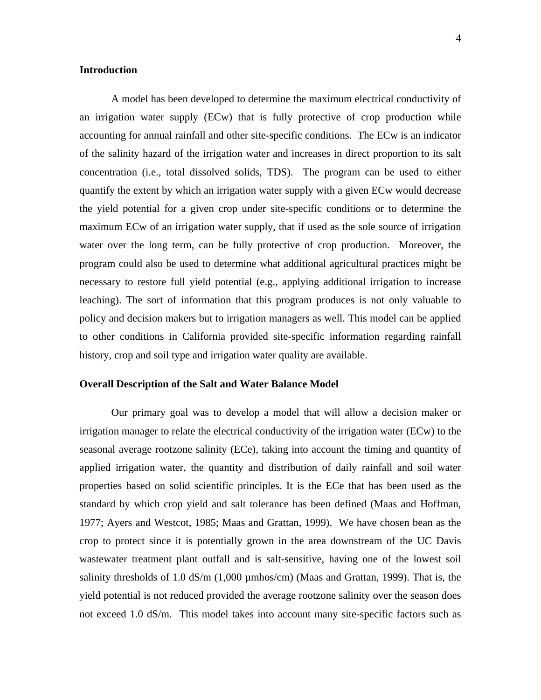### **Introduction**

A model has been developed to determine the maximum electrical conductivity of an irrigation water supply (ECw) that is fully protective of crop production while accounting for annual rainfall and other site-specific conditions. The ECw is an indicator of the salinity hazard of the irrigation water and increases in direct proportion to its salt concentration (i.e., total dissolved solids, TDS). The program can be used to either quantify the extent by which an irrigation water supply with a given ECw would decrease the yield potential for a given crop under site-specific conditions or to determine the maximum ECw of an irrigation water supply, that if used as the sole source of irrigation water over the long term, can be fully protective of crop production. Moreover, the program could also be used to determine what additional agricultural practices might be necessary to restore full yield potential (e.g., applying additional irrigation to increase leaching). The sort of information that this program produces is not only valuable to policy and decision makers but to irrigation managers as well. This model can be applied to other conditions in California provided site-specific information regarding rainfall history, crop and soil type and irrigation water quality are available.

### **Overall Description of the Salt and Water Balance Model**

Our primary goal was to develop a model that will allow a decision maker or irrigation manager to relate the electrical conductivity of the irrigation water (ECw) to the seasonal average rootzone salinity (ECe), taking into account the timing and quantity of applied irrigation water, the quantity and distribution of daily rainfall and soil water properties based on solid scientific principles. It is the ECe that has been used as the standard by which crop yield and salt tolerance has been defined (Maas and Hoffman, 1977; Ayers and Westcot, 1985; Maas and Grattan, 1999). We have chosen bean as the crop to protect since it is potentially grown in the area downstream of the UC Davis wastewater treatment plant outfall and is salt-sensitive, having one of the lowest soil salinity thresholds of 1.0 dS/m  $(1,000 \mu m$ hos/cm) (Maas and Grattan, 1999). That is, the yield potential is not reduced provided the average rootzone salinity over the season does not exceed 1.0 dS/m. This model takes into account many site-specific factors such as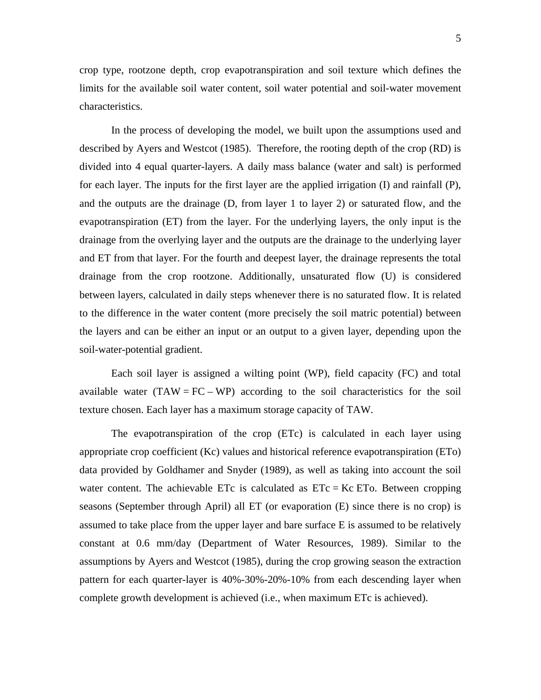crop type, rootzone depth, crop evapotranspiration and soil texture which defines the limits for the available soil water content, soil water potential and soil-water movement characteristics.

In the process of developing the model, we built upon the assumptions used and described by Ayers and Westcot (1985). Therefore, the rooting depth of the crop (RD) is divided into 4 equal quarter-layers. A daily mass balance (water and salt) is performed for each layer. The inputs for the first layer are the applied irrigation (I) and rainfall (P), and the outputs are the drainage (D, from layer 1 to layer 2) or saturated flow, and the evapotranspiration (ET) from the layer. For the underlying layers, the only input is the drainage from the overlying layer and the outputs are the drainage to the underlying layer and ET from that layer. For the fourth and deepest layer, the drainage represents the total drainage from the crop rootzone. Additionally, unsaturated flow (U) is considered between layers, calculated in daily steps whenever there is no saturated flow. It is related to the difference in the water content (more precisely the soil matric potential) between the layers and can be either an input or an output to a given layer, depending upon the soil-water-potential gradient.

Each soil layer is assigned a wilting point (WP), field capacity (FC) and total available water  $(TAW = FC - WP)$  according to the soil characteristics for the soil texture chosen. Each layer has a maximum storage capacity of TAW.

The evapotranspiration of the crop (ETc) is calculated in each layer using appropriate crop coefficient (Kc) values and historical reference evapotranspiration (ETo) data provided by Goldhamer and Snyder (1989), as well as taking into account the soil water content. The achievable ETc is calculated as  $ETc = Kc ET_0$ . Between cropping seasons (September through April) all ET (or evaporation (E) since there is no crop) is assumed to take place from the upper layer and bare surface E is assumed to be relatively constant at 0.6 mm/day (Department of Water Resources, 1989). Similar to the assumptions by Ayers and Westcot (1985), during the crop growing season the extraction pattern for each quarter-layer is 40%-30%-20%-10% from each descending layer when complete growth development is achieved (i.e., when maximum ETc is achieved).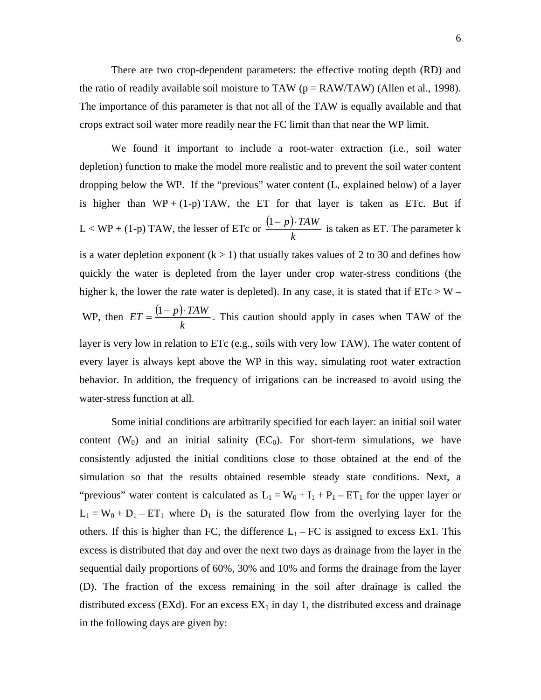There are two crop-dependent parameters: the effective rooting depth (RD) and the ratio of readily available soil moisture to TAW ( $p = RAW/TAW$ ) (Allen et al., 1998). The importance of this parameter is that not all of the TAW is equally available and that crops extract soil water more readily near the FC limit than that near the WP limit.

We found it important to include a root-water extraction (i.e., soil water depletion) function to make the model more realistic and to prevent the soil water content dropping below the WP. If the "previous" water content (L, explained below) of a layer is higher than  $WP + (1-p) TAW$ , the ET for that layer is taken as ETc. But if  $L < WP + (1-p)$  TAW, the lesser of ETc or  $\frac{(1-p)}{p}$ *k*  $\frac{(1-p)\cdot TAW}{P}$  is taken as ET. The parameter k is a water depletion exponent  $(k > 1)$  that usually takes values of 2 to 30 and defines how quickly the water is depleted from the layer under crop water-stress conditions (the higher k, the lower the rate water is depleted). In any case, it is stated that if  $ETc > W -$ WP, then  $ET = \frac{(1-p)}{p}$ *k*  $ET = \frac{(1-p) \cdot TAW}{T}$ . This caution should apply in cases when TAW of the layer is very low in relation to ETc (e.g., soils with very low TAW). The water content of every layer is always kept above the WP in this way, simulating root water extraction behavior. In addition, the frequency of irrigations can be increased to avoid using the water-stress function at all.

Some initial conditions are arbitrarily specified for each layer: an initial soil water content  $(W_0)$  and an initial salinity (EC<sub>0</sub>). For short-term simulations, we have consistently adjusted the initial conditions close to those obtained at the end of the simulation so that the results obtained resemble steady state conditions. Next, a "previous" water content is calculated as  $L_1 = W_0 + I_1 + P_1 - ET_1$  for the upper layer or  $L_1 = W_0 + D_1 - ET_1$  where  $D_1$  is the saturated flow from the overlying layer for the others. If this is higher than FC, the difference  $L_1$  – FC is assigned to excess Ex1. This excess is distributed that day and over the next two days as drainage from the layer in the sequential daily proportions of 60%, 30% and 10% and forms the drainage from the layer (D). The fraction of the excess remaining in the soil after drainage is called the distributed excess (EXd). For an excess  $EX_1$  in day 1, the distributed excess and drainage in the following days are given by: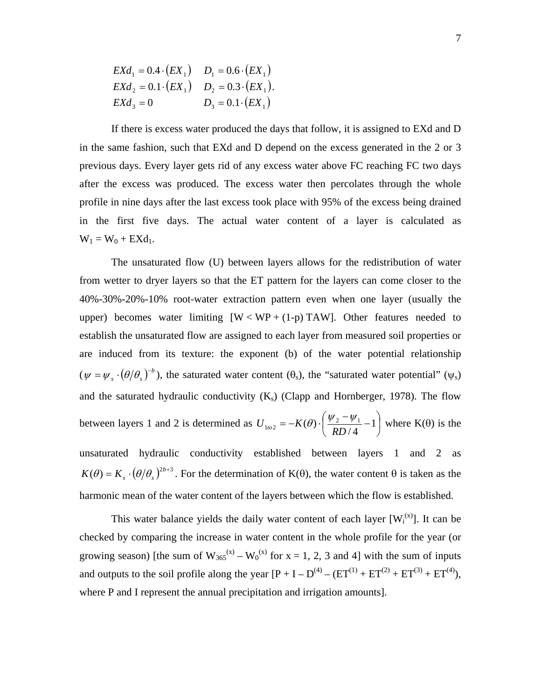| $EXd_1 = 0.4 \cdot (EX_1)$ $D_1 = 0.6 \cdot (EX_1)$   |                          |
|-------------------------------------------------------|--------------------------|
| $EXd_2 = 0.1 \cdot (EX_1)$ $D_2 = 0.3 \cdot (EX_1)$ . |                          |
| $EXd_3=0$                                             | $D_3 = 0.1 \cdot (EX_1)$ |

If there is excess water produced the days that follow, it is assigned to EXd and D in the same fashion, such that EXd and D depend on the excess generated in the 2 or 3 previous days. Every layer gets rid of any excess water above FC reaching FC two days after the excess was produced. The excess water then percolates through the whole profile in nine days after the last excess took place with 95% of the excess being drained in the first five days. The actual water content of a layer is calculated as  $W_1 = W_0 + EXd_1.$ 

The unsaturated flow (U) between layers allows for the redistribution of water from wetter to dryer layers so that the ET pattern for the layers can come closer to the 40%-30%-20%-10% root-water extraction pattern even when one layer (usually the upper) becomes water limiting  $[W < WP + (1-p) TAW]$ . Other features needed to establish the unsaturated flow are assigned to each layer from measured soil properties or are induced from its texture: the exponent (b) of the water potential relationship  $(\psi = \psi_s \cdot (\theta/\theta_s)^{-b})$ , the saturated water content ( $\theta_s$ ), the "saturated water potential" ( $\psi_s$ ) and the saturated hydraulic conductivity  $(K<sub>s</sub>)$  (Clapp and Hornberger, 1978). The flow between layers 1 and 2 is determined as  $U_{102} = -K(\theta) \cdot \left| \frac{\psi_2 - \psi_1}{2R} - 1 \right|$ ⎠  $\left(\frac{\psi_2-\psi_1}{2} - 1\right)$ ⎝  $U_{1\omega^2} = -K(\theta) \cdot \left(\frac{\psi_2 - \psi_1}{RD/4} - 1\right)$  where K( $\theta$ ) is the unsaturated hydraulic conductivity established between layers 1 and 2 as  $K(\theta) = K_s \cdot (\theta/\theta_s)^{2b+3}$ . For the determination of K( $\theta$ ), the water content  $\theta$  is taken as the harmonic mean of the water content of the layers between which the flow is established.

This water balance yields the daily water content of each layer  $[W_i^{(x)}]$ . It can be checked by comparing the increase in water content in the whole profile for the year (or growing season) [the sum of  $W_{365}^{(x)} - W_0^{(x)}$  for  $x = 1, 2, 3$  and 4] with the sum of inputs and outputs to the soil profile along the year  $[P + I - D<sup>(4)</sup> - (ET<sup>(1)</sup> + ET<sup>(2)</sup> + ET<sup>(3)</sup> + ET<sup>(4)</sup>),$ where P and I represent the annual precipitation and irrigation amounts].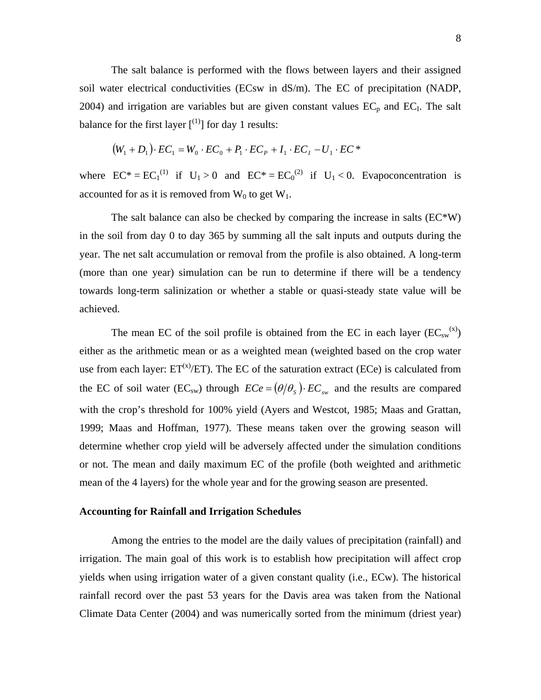The salt balance is performed with the flows between layers and their assigned soil water electrical conductivities (ECsw in dS/m). The EC of precipitation (NADP, 2004) and irrigation are variables but are given constant values  $EC<sub>p</sub>$  and  $EC<sub>I</sub>$ . The salt balance for the first layer  $\binom{11}{1}$  for day 1 results:

$$
(W_1 + D_1) \cdot EC_1 = W_0 \cdot EC_0 + P_1 \cdot EC_P + I_1 \cdot EC_I - U_1 \cdot EC^*
$$

where  $EC^* = EC_1^{(1)}$  if  $U_1 > 0$  and  $EC^* = EC_0^{(2)}$  if  $U_1 < 0$ . Evapoconcentration is accounted for as it is removed from  $W_0$  to get  $W_1$ .

The salt balance can also be checked by comparing the increase in salts  $(EC*W)$ in the soil from day 0 to day 365 by summing all the salt inputs and outputs during the year. The net salt accumulation or removal from the profile is also obtained. A long-term (more than one year) simulation can be run to determine if there will be a tendency towards long-term salinization or whether a stable or quasi-steady state value will be achieved.

The mean EC of the soil profile is obtained from the EC in each layer  $(EC_{sw}^{(x)})$ either as the arithmetic mean or as a weighted mean (weighted based on the crop water use from each layer:  $ET^{(x)}/ET$ ). The EC of the saturation extract (ECe) is calculated from the EC of soil water ( $EC_{sw}$ ) through  $EC_e = (\theta/\theta_s) \cdot EC_{sw}$  and the results are compared with the crop's threshold for 100% yield (Ayers and Westcot, 1985; Maas and Grattan, 1999; Maas and Hoffman, 1977). These means taken over the growing season will determine whether crop yield will be adversely affected under the simulation conditions or not. The mean and daily maximum EC of the profile (both weighted and arithmetic mean of the 4 layers) for the whole year and for the growing season are presented.

#### **Accounting for Rainfall and Irrigation Schedules**

Among the entries to the model are the daily values of precipitation (rainfall) and irrigation. The main goal of this work is to establish how precipitation will affect crop yields when using irrigation water of a given constant quality (i.e., ECw). The historical rainfall record over the past 53 years for the Davis area was taken from the National Climate Data Center (2004) and was numerically sorted from the minimum (driest year)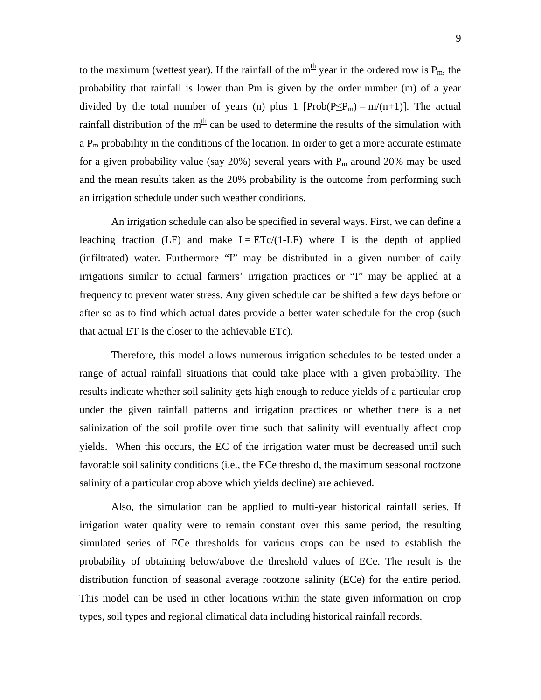to the maximum (wettest year). If the rainfall of the  $m<sup>th</sup>$  year in the ordered row is  $P_m$ , the probability that rainfall is lower than Pm is given by the order number (m) of a year divided by the total number of years (n) plus 1  $[Prob(P \le P_m) = m/(n+1)]$ . The actual rainfall distribution of the  $m<sup>th</sup>$  can be used to determine the results of the simulation with  $a P_m$  probability in the conditions of the location. In order to get a more accurate estimate for a given probability value (say  $20\%$ ) several years with  $P_m$  around  $20\%$  may be used and the mean results taken as the 20% probability is the outcome from performing such an irrigation schedule under such weather conditions.

An irrigation schedule can also be specified in several ways. First, we can define a leaching fraction (LF) and make  $I = ETc/(1-LF)$  where I is the depth of applied (infiltrated) water. Furthermore "I" may be distributed in a given number of daily irrigations similar to actual farmers' irrigation practices or "I" may be applied at a frequency to prevent water stress. Any given schedule can be shifted a few days before or after so as to find which actual dates provide a better water schedule for the crop (such that actual ET is the closer to the achievable ETc).

Therefore, this model allows numerous irrigation schedules to be tested under a range of actual rainfall situations that could take place with a given probability. The results indicate whether soil salinity gets high enough to reduce yields of a particular crop under the given rainfall patterns and irrigation practices or whether there is a net salinization of the soil profile over time such that salinity will eventually affect crop yields. When this occurs, the EC of the irrigation water must be decreased until such favorable soil salinity conditions (i.e., the ECe threshold, the maximum seasonal rootzone salinity of a particular crop above which yields decline) are achieved.

Also, the simulation can be applied to multi-year historical rainfall series. If irrigation water quality were to remain constant over this same period, the resulting simulated series of ECe thresholds for various crops can be used to establish the probability of obtaining below/above the threshold values of ECe. The result is the distribution function of seasonal average rootzone salinity (ECe) for the entire period. This model can be used in other locations within the state given information on crop types, soil types and regional climatical data including historical rainfall records.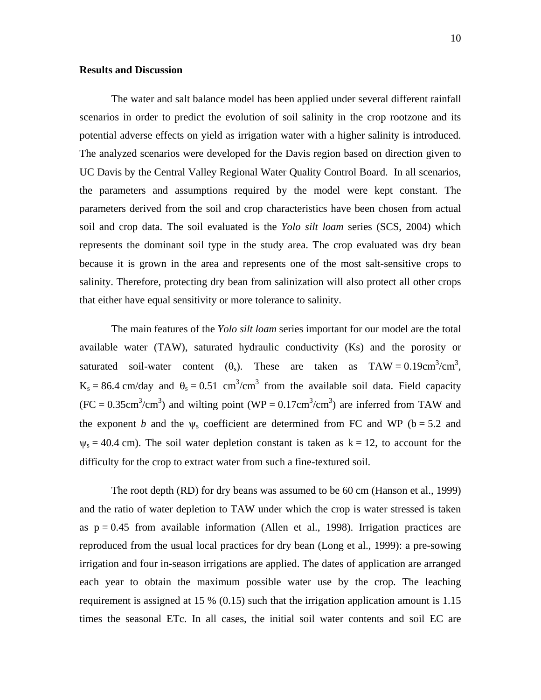### **Results and Discussion**

The water and salt balance model has been applied under several different rainfall scenarios in order to predict the evolution of soil salinity in the crop rootzone and its potential adverse effects on yield as irrigation water with a higher salinity is introduced. The analyzed scenarios were developed for the Davis region based on direction given to UC Davis by the Central Valley Regional Water Quality Control Board. In all scenarios, the parameters and assumptions required by the model were kept constant. The parameters derived from the soil and crop characteristics have been chosen from actual soil and crop data. The soil evaluated is the *Yolo silt loam* series (SCS, 2004) which represents the dominant soil type in the study area. The crop evaluated was dry bean because it is grown in the area and represents one of the most salt-sensitive crops to salinity. Therefore, protecting dry bean from salinization will also protect all other crops that either have equal sensitivity or more tolerance to salinity.

The main features of the *Yolo silt loam* series important for our model are the total available water (TAW), saturated hydraulic conductivity (Ks) and the porosity or saturated soil-water content  $(\theta_s)$ . These are taken as TAW = 0.19cm<sup>3</sup>/cm<sup>3</sup>,  $K_s = 86.4$  cm/day and  $\theta_s = 0.51$  cm<sup>3</sup>/cm<sup>3</sup> from the available soil data. Field capacity  $(FC = 0.35cm<sup>3</sup>/cm<sup>3</sup>)$  and wilting point  $(WP = 0.17cm<sup>3</sup>/cm<sup>3</sup>)$  are inferred from TAW and the exponent *b* and the  $\psi_s$  coefficient are determined from FC and WP ( $b = 5.2$  and  $\psi_s = 40.4$  cm). The soil water depletion constant is taken as  $k = 12$ , to account for the difficulty for the crop to extract water from such a fine-textured soil.

The root depth (RD) for dry beans was assumed to be 60 cm (Hanson et al., 1999) and the ratio of water depletion to TAW under which the crop is water stressed is taken as  $p = 0.45$  from available information (Allen et al., 1998). Irrigation practices are reproduced from the usual local practices for dry bean (Long et al., 1999): a pre-sowing irrigation and four in-season irrigations are applied. The dates of application are arranged each year to obtain the maximum possible water use by the crop. The leaching requirement is assigned at 15 % (0.15) such that the irrigation application amount is 1.15 times the seasonal ETc. In all cases, the initial soil water contents and soil EC are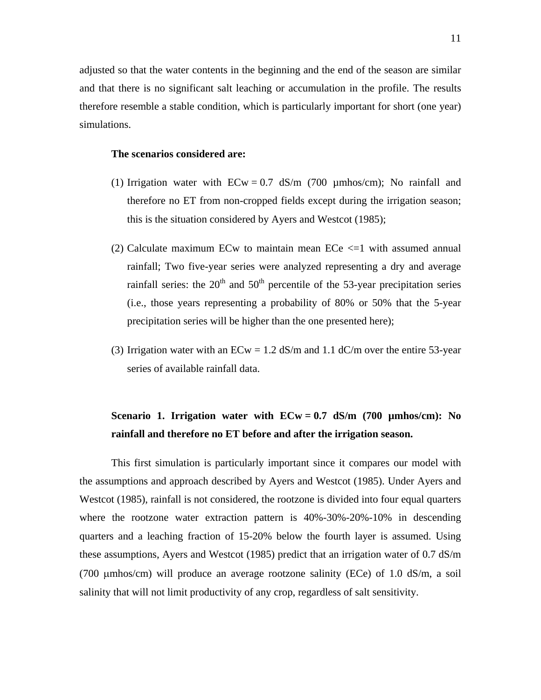adjusted so that the water contents in the beginning and the end of the season are similar and that there is no significant salt leaching or accumulation in the profile. The results therefore resemble a stable condition, which is particularly important for short (one year) simulations.

#### **The scenarios considered are:**

- (1) Irrigation water with  $ECw = 0.7$  dS/m (700 µmhos/cm); No rainfall and therefore no ET from non-cropped fields except during the irrigation season; this is the situation considered by Ayers and Westcot (1985);
- (2) Calculate maximum ECw to maintain mean ECe  $\leq$  1 with assumed annual rainfall; Two five-year series were analyzed representing a dry and average rainfall series: the  $20<sup>th</sup>$  and  $50<sup>th</sup>$  percentile of the 53-year precipitation series (i.e., those years representing a probability of 80% or 50% that the 5-year precipitation series will be higher than the one presented here);
- (3) Irrigation water with an  $ECw = 1.2$  dS/m and 1.1 dC/m over the entire 53-year series of available rainfall data.

# **Scenario 1. Irrigation water with ECw = 0.7 dS/m (700 µmhos/cm): No rainfall and therefore no ET before and after the irrigation season.**

This first simulation is particularly important since it compares our model with the assumptions and approach described by Ayers and Westcot (1985). Under Ayers and Westcot (1985), rainfall is not considered, the rootzone is divided into four equal quarters where the rootzone water extraction pattern is  $40\% - 30\% - 20\% - 10\%$  in descending quarters and a leaching fraction of 15-20% below the fourth layer is assumed. Using these assumptions, Ayers and Westcot (1985) predict that an irrigation water of 0.7 dS/m (700 µmhos/cm) will produce an average rootzone salinity (ECe) of 1.0 dS/m, a soil salinity that will not limit productivity of any crop, regardless of salt sensitivity.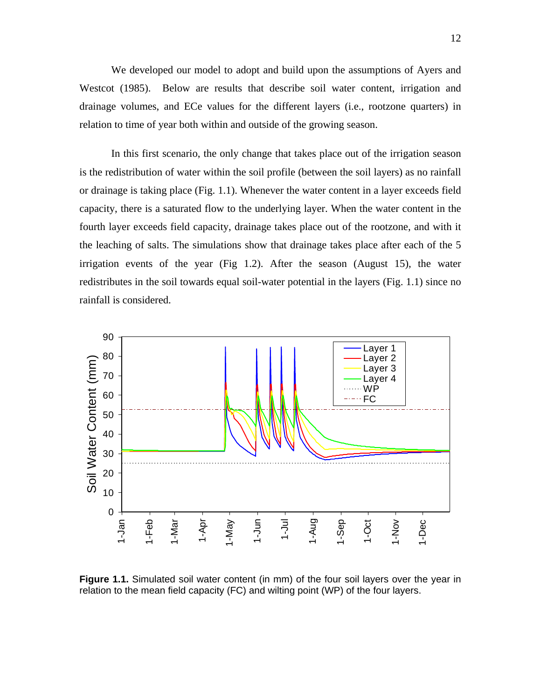We developed our model to adopt and build upon the assumptions of Ayers and Westcot (1985). Below are results that describe soil water content, irrigation and drainage volumes, and ECe values for the different layers (i.e., rootzone quarters) in relation to time of year both within and outside of the growing season.

In this first scenario, the only change that takes place out of the irrigation season is the redistribution of water within the soil profile (between the soil layers) as no rainfall or drainage is taking place (Fig. 1.1). Whenever the water content in a layer exceeds field capacity, there is a saturated flow to the underlying layer. When the water content in the fourth layer exceeds field capacity, drainage takes place out of the rootzone, and with it the leaching of salts. The simulations show that drainage takes place after each of the 5 irrigation events of the year (Fig 1.2). After the season (August 15), the water redistributes in the soil towards equal soil-water potential in the layers (Fig. 1.1) since no rainfall is considered.



**Figure 1.1.** Simulated soil water content (in mm) of the four soil layers over the year in relation to the mean field capacity (FC) and wilting point (WP) of the four layers.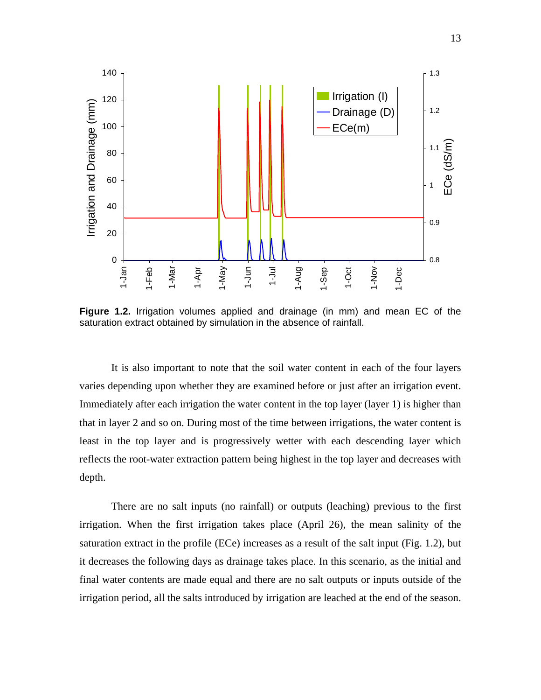

**Figure 1.2.** Irrigation volumes applied and drainage (in mm) and mean EC of the saturation extract obtained by simulation in the absence of rainfall.

It is also important to note that the soil water content in each of the four layers varies depending upon whether they are examined before or just after an irrigation event. Immediately after each irrigation the water content in the top layer (layer 1) is higher than that in layer 2 and so on. During most of the time between irrigations, the water content is least in the top layer and is progressively wetter with each descending layer which reflects the root-water extraction pattern being highest in the top layer and decreases with depth.

There are no salt inputs (no rainfall) or outputs (leaching) previous to the first irrigation. When the first irrigation takes place (April 26), the mean salinity of the saturation extract in the profile (ECe) increases as a result of the salt input (Fig. 1.2), but it decreases the following days as drainage takes place. In this scenario, as the initial and final water contents are made equal and there are no salt outputs or inputs outside of the irrigation period, all the salts introduced by irrigation are leached at the end of the season.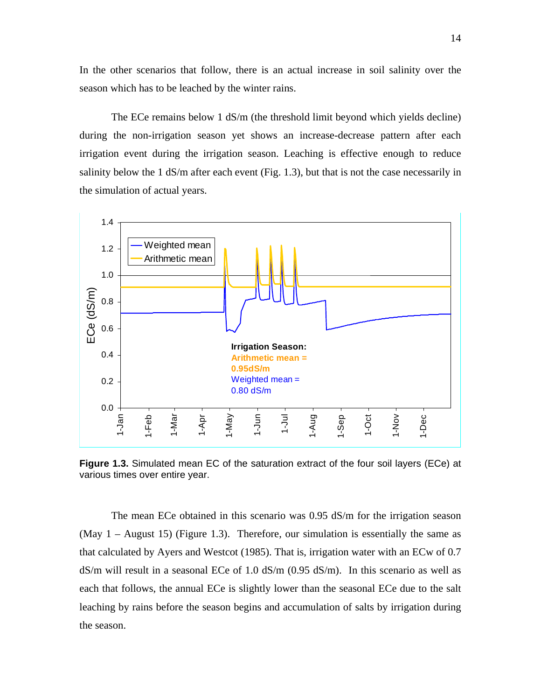In the other scenarios that follow, there is an actual increase in soil salinity over the season which has to be leached by the winter rains.

The ECe remains below 1 dS/m (the threshold limit beyond which yields decline) during the non-irrigation season yet shows an increase-decrease pattern after each irrigation event during the irrigation season. Leaching is effective enough to reduce salinity below the 1 dS/m after each event (Fig. 1.3), but that is not the case necessarily in the simulation of actual years.



**Figure 1.3.** Simulated mean EC of the saturation extract of the four soil layers (ECe) at various times over entire year.

The mean ECe obtained in this scenario was 0.95 dS/m for the irrigation season (May  $1 -$  August 15) (Figure 1.3). Therefore, our simulation is essentially the same as that calculated by Ayers and Westcot (1985). That is, irrigation water with an ECw of 0.7  $dS/m$  will result in a seasonal ECe of 1.0  $dS/m$  (0.95  $dS/m$ ). In this scenario as well as each that follows, the annual ECe is slightly lower than the seasonal ECe due to the salt leaching by rains before the season begins and accumulation of salts by irrigation during the season.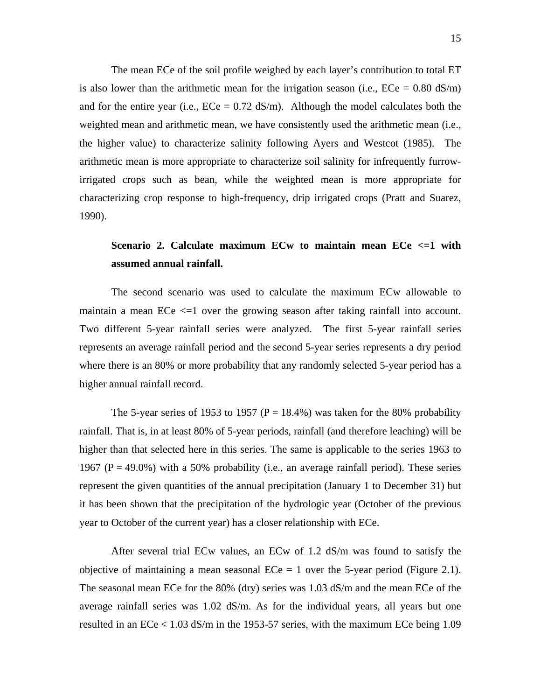The mean ECe of the soil profile weighed by each layer's contribution to total ET is also lower than the arithmetic mean for the irrigation season (i.e.,  $\text{ECe} = 0.80 \text{ dS/m}$ ) and for the entire year (i.e.,  $ECe = 0.72$  dS/m). Although the model calculates both the weighted mean and arithmetic mean, we have consistently used the arithmetic mean (i.e., the higher value) to characterize salinity following Ayers and Westcot (1985). The arithmetic mean is more appropriate to characterize soil salinity for infrequently furrowirrigated crops such as bean, while the weighted mean is more appropriate for characterizing crop response to high-frequency, drip irrigated crops (Pratt and Suarez, 1990).

# **Scenario 2. Calculate maximum ECw to maintain mean ECe <=1 with assumed annual rainfall.**

The second scenario was used to calculate the maximum ECw allowable to maintain a mean ECe  $\leq$  1 over the growing season after taking rainfall into account. Two different 5-year rainfall series were analyzed. The first 5-year rainfall series represents an average rainfall period and the second 5-year series represents a dry period where there is an 80% or more probability that any randomly selected 5-year period has a higher annual rainfall record.

The 5-year series of 1953 to 1957 ( $P = 18.4\%$ ) was taken for the 80% probability rainfall. That is, in at least 80% of 5-year periods, rainfall (and therefore leaching) will be higher than that selected here in this series. The same is applicable to the series 1963 to 1967 (P = 49.0%) with a 50% probability (i.e., an average rainfall period). These series represent the given quantities of the annual precipitation (January 1 to December 31) but it has been shown that the precipitation of the hydrologic year (October of the previous year to October of the current year) has a closer relationship with ECe.

After several trial ECw values, an ECw of 1.2 dS/m was found to satisfy the objective of maintaining a mean seasonal  $ECe = 1$  over the 5-year period (Figure 2.1). The seasonal mean ECe for the 80% (dry) series was 1.03 dS/m and the mean ECe of the average rainfall series was 1.02 dS/m. As for the individual years, all years but one resulted in an ECe < 1.03 dS/m in the 1953-57 series, with the maximum ECe being 1.09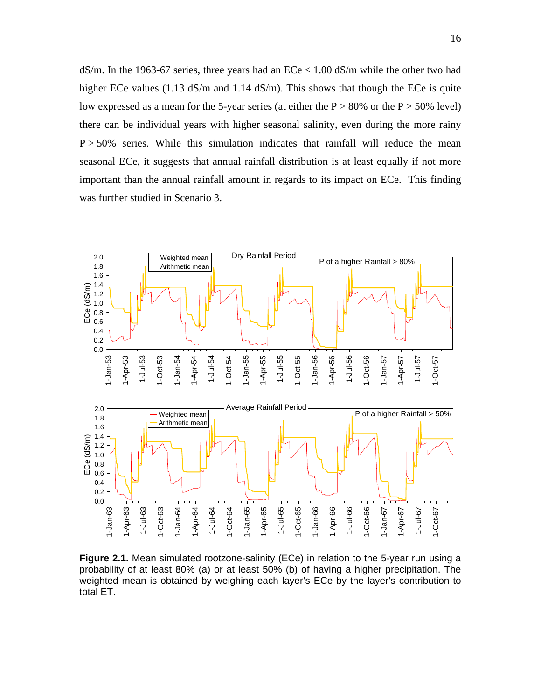$dS/m$ . In the 1963-67 series, three years had an  $ECe < 1.00$  dS/m while the other two had higher ECe values (1.13 dS/m and 1.14 dS/m). This shows that though the ECe is quite low expressed as a mean for the 5-year series (at either the  $P > 80\%$  or the  $P > 50\%$  level) there can be individual years with higher seasonal salinity, even during the more rainy  $P > 50\%$  series. While this simulation indicates that rainfall will reduce the mean seasonal ECe, it suggests that annual rainfall distribution is at least equally if not more important than the annual rainfall amount in regards to its impact on ECe. This finding was further studied in Scenario 3.



**Figure 2.1.** Mean simulated rootzone-salinity (ECe) in relation to the 5-year run using a probability of at least 80% (a) or at least 50% (b) of having a higher precipitation. The weighted mean is obtained by weighing each layer's ECe by the layer's contribution to total ET.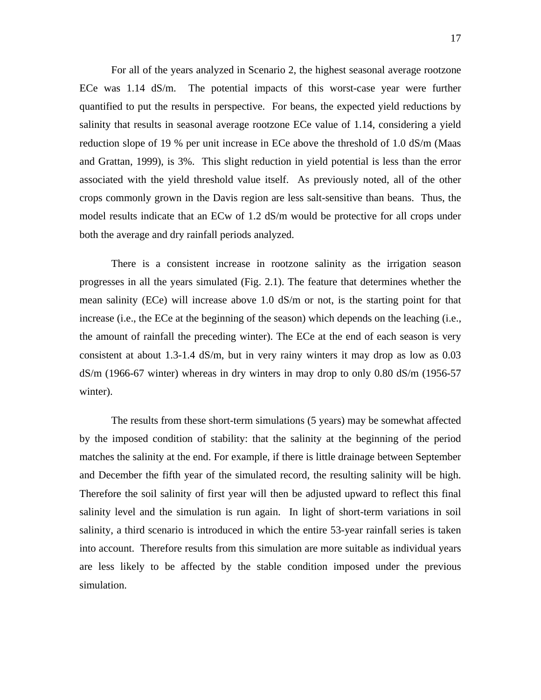For all of the years analyzed in Scenario 2, the highest seasonal average rootzone ECe was 1.14 dS/m. The potential impacts of this worst-case year were further quantified to put the results in perspective. For beans, the expected yield reductions by salinity that results in seasonal average rootzone ECe value of 1.14, considering a yield reduction slope of 19 % per unit increase in ECe above the threshold of 1.0 dS/m (Maas and Grattan, 1999), is 3%. This slight reduction in yield potential is less than the error associated with the yield threshold value itself. As previously noted, all of the other crops commonly grown in the Davis region are less salt-sensitive than beans. Thus, the model results indicate that an ECw of 1.2 dS/m would be protective for all crops under both the average and dry rainfall periods analyzed.

There is a consistent increase in rootzone salinity as the irrigation season progresses in all the years simulated (Fig. 2.1). The feature that determines whether the mean salinity (ECe) will increase above 1.0 dS/m or not, is the starting point for that increase (i.e., the ECe at the beginning of the season) which depends on the leaching (i.e., the amount of rainfall the preceding winter). The ECe at the end of each season is very consistent at about 1.3-1.4 dS/m, but in very rainy winters it may drop as low as 0.03  $dS/m$  (1966-67 winter) whereas in dry winters in may drop to only 0.80  $dS/m$  (1956-57 winter).

The results from these short-term simulations (5 years) may be somewhat affected by the imposed condition of stability: that the salinity at the beginning of the period matches the salinity at the end. For example, if there is little drainage between September and December the fifth year of the simulated record, the resulting salinity will be high. Therefore the soil salinity of first year will then be adjusted upward to reflect this final salinity level and the simulation is run again. In light of short-term variations in soil salinity, a third scenario is introduced in which the entire 53-year rainfall series is taken into account. Therefore results from this simulation are more suitable as individual years are less likely to be affected by the stable condition imposed under the previous simulation.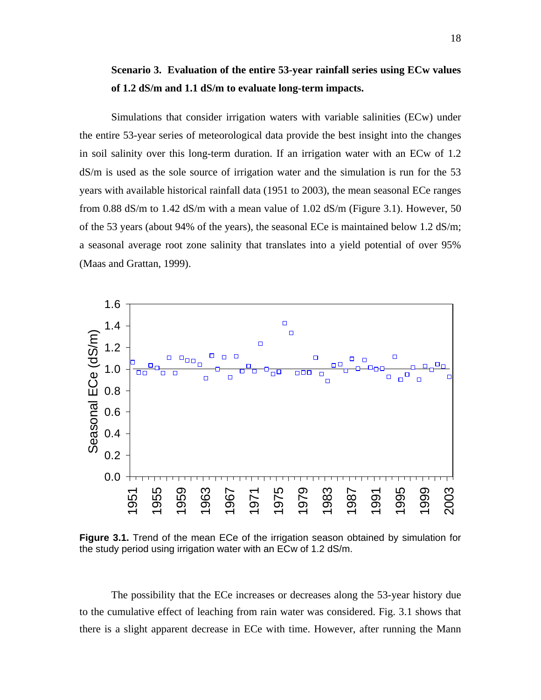# **Scenario 3. Evaluation of the entire 53-year rainfall series using ECw values of 1.2 dS/m and 1.1 dS/m to evaluate long-term impacts.**

Simulations that consider irrigation waters with variable salinities (ECw) under the entire 53-year series of meteorological data provide the best insight into the changes in soil salinity over this long-term duration. If an irrigation water with an ECw of 1.2 dS/m is used as the sole source of irrigation water and the simulation is run for the 53 years with available historical rainfall data (1951 to 2003), the mean seasonal ECe ranges from 0.88 dS/m to 1.42 dS/m with a mean value of 1.02 dS/m (Figure 3.1). However, 50 of the 53 years (about 94% of the years), the seasonal ECe is maintained below 1.2 dS/m; a seasonal average root zone salinity that translates into a yield potential of over 95% (Maas and Grattan, 1999).



**Figure 3.1.** Trend of the mean ECe of the irrigation season obtained by simulation for the study period using irrigation water with an ECw of 1.2 dS/m.

The possibility that the ECe increases or decreases along the 53-year history due to the cumulative effect of leaching from rain water was considered. Fig. 3.1 shows that there is a slight apparent decrease in ECe with time. However, after running the Mann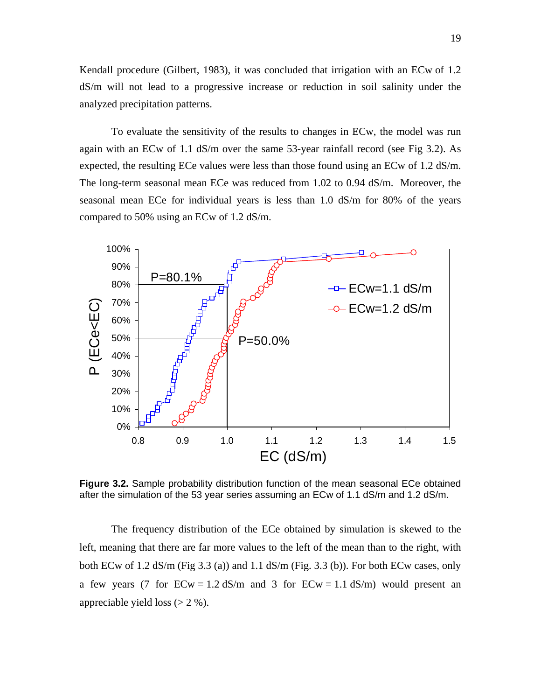Kendall procedure (Gilbert, 1983), it was concluded that irrigation with an ECw of 1.2 dS/m will not lead to a progressive increase or reduction in soil salinity under the analyzed precipitation patterns.

To evaluate the sensitivity of the results to changes in ECw, the model was run again with an ECw of 1.1 dS/m over the same 53-year rainfall record (see Fig 3.2). As expected, the resulting ECe values were less than those found using an ECw of 1.2 dS/m. The long-term seasonal mean ECe was reduced from 1.02 to 0.94 dS/m. Moreover, the seasonal mean ECe for individual years is less than 1.0 dS/m for 80% of the years compared to 50% using an ECw of 1.2 dS/m.



**Figure 3.2.** Sample probability distribution function of the mean seasonal ECe obtained after the simulation of the 53 year series assuming an ECw of 1.1 dS/m and 1.2 dS/m.

The frequency distribution of the ECe obtained by simulation is skewed to the left, meaning that there are far more values to the left of the mean than to the right, with both ECw of 1.2 dS/m (Fig 3.3 (a)) and 1.1 dS/m (Fig. 3.3 (b)). For both ECw cases, only a few years (7 for  $ECw = 1.2$  dS/m and 3 for  $ECw = 1.1$  dS/m) would present an appreciable yield loss  $(> 2 \%)$ .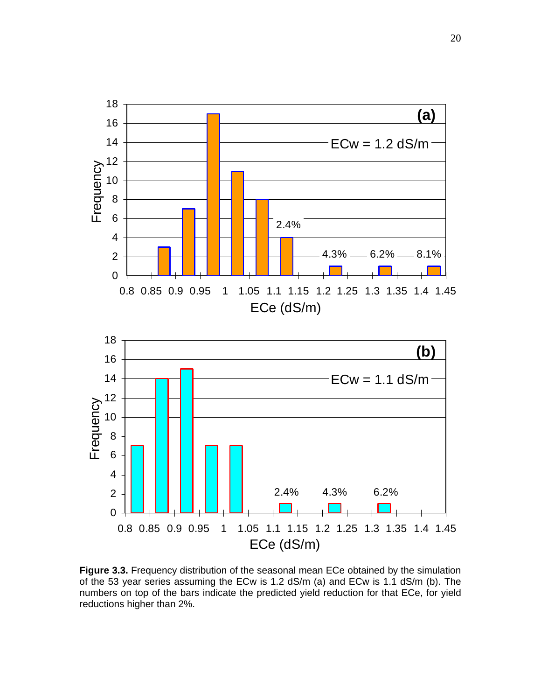

**Figure 3.3.** Frequency distribution of the seasonal mean ECe obtained by the simulation of the 53 year series assuming the ECw is 1.2 dS/m (a) and ECw is 1.1 dS/m (b). The numbers on top of the bars indicate the predicted yield reduction for that ECe, for yield reductions higher than 2%.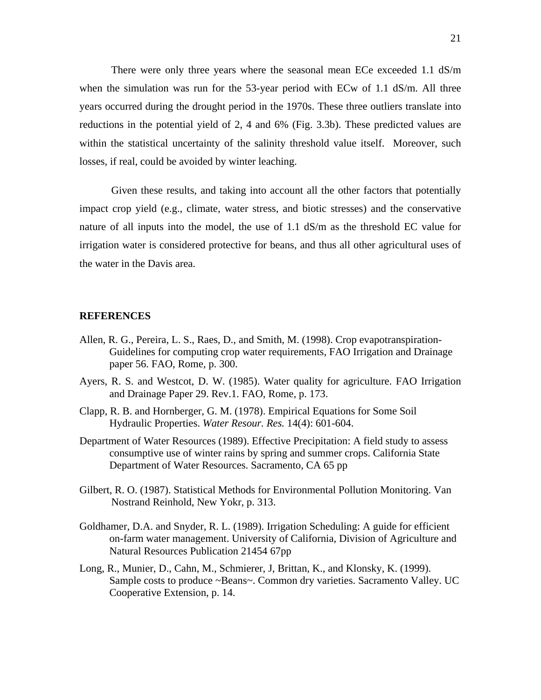There were only three years where the seasonal mean ECe exceeded 1.1 dS/m when the simulation was run for the 53-year period with ECw of 1.1 dS/m. All three years occurred during the drought period in the 1970s. These three outliers translate into reductions in the potential yield of 2, 4 and 6% (Fig. 3.3b). These predicted values are within the statistical uncertainty of the salinity threshold value itself. Moreover, such losses, if real, could be avoided by winter leaching.

Given these results, and taking into account all the other factors that potentially impact crop yield (e.g., climate, water stress, and biotic stresses) and the conservative nature of all inputs into the model, the use of 1.1 dS/m as the threshold EC value for irrigation water is considered protective for beans, and thus all other agricultural uses of the water in the Davis area.

#### **REFERENCES**

- Allen, R. G., Pereira, L. S., Raes, D., and Smith, M. (1998). Crop evapotranspiration-Guidelines for computing crop water requirements, FAO Irrigation and Drainage paper 56. FAO, Rome, p. 300.
- Ayers, R. S. and Westcot, D. W. (1985). Water quality for agriculture. FAO Irrigation and Drainage Paper 29. Rev.1. FAO, Rome, p. 173.
- Clapp, R. B. and Hornberger, G. M. (1978). Empirical Equations for Some Soil Hydraulic Properties. *Water Resour. Res.* 14(4): 601-604.
- Department of Water Resources (1989). Effective Precipitation: A field study to assess consumptive use of winter rains by spring and summer crops. California State Department of Water Resources. Sacramento, CA 65 pp
- Gilbert, R. O. (1987). Statistical Methods for Environmental Pollution Monitoring. Van Nostrand Reinhold, New Yokr, p. 313.
- Goldhamer, D.A. and Snyder, R. L. (1989). Irrigation Scheduling: A guide for efficient on-farm water management. University of California, Division of Agriculture and Natural Resources Publication 21454 67pp
- Long, R., Munier, D., Cahn, M., Schmierer, J, Brittan, K., and Klonsky, K. (1999). Sample costs to produce ~Beans~. Common dry varieties. Sacramento Valley. UC Cooperative Extension, p. 14.